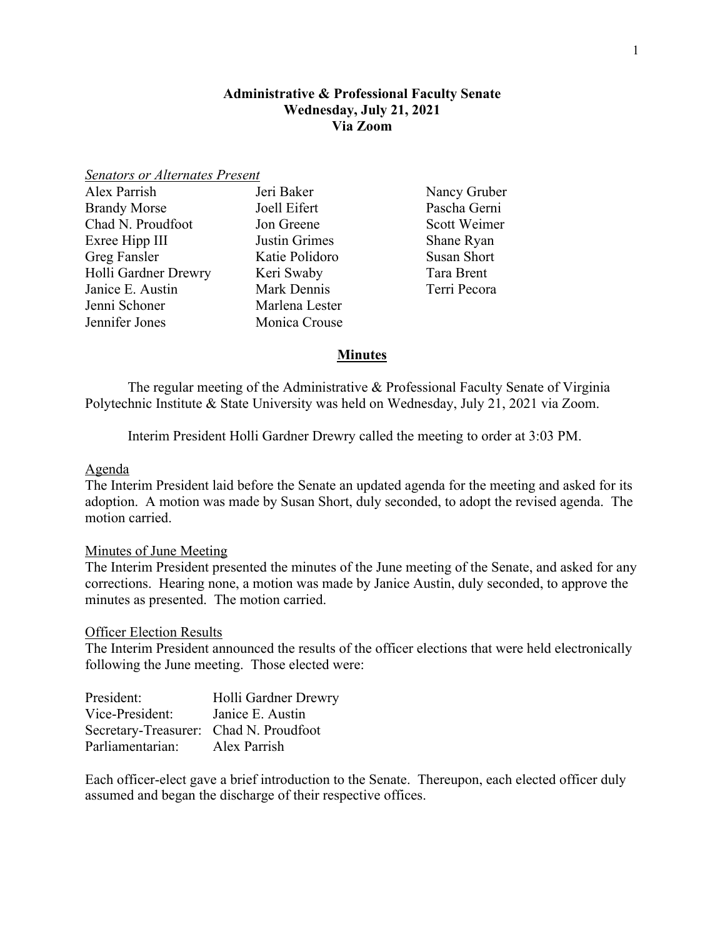## **Administrative & Professional Faculty Senate Wednesday, July 21, 2021 Via Zoom**

#### *Senators or Alternates Present*

| Alex Parrish         | Jeri Baker     |
|----------------------|----------------|
| <b>Brandy Morse</b>  | Joell Eifert   |
| Chad N. Proudfoot    | Jon Greene     |
| Exree Hipp III       | Justin Grimes  |
| Greg Fansler         | Katie Polidoro |
| Holli Gardner Drewry | Keri Swaby     |
| Janice E. Austin     | Mark Dennis    |
| Jenni Schoner        | Marlena Lester |
| Jennifer Jones       | Monica Crouse  |

Nancy Gruber t Pascha Gerni e Scott Weimer nes Shane Ryan doro Susan Short y Tara Brent nis Terri Pecora

### **Minutes**

The regular meeting of the Administrative & Professional Faculty Senate of Virginia Polytechnic Institute & State University was held on Wednesday, July 21, 2021 via Zoom.

Interim President Holli Gardner Drewry called the meeting to order at 3:03 PM.

#### Agenda

The Interim President laid before the Senate an updated agenda for the meeting and asked for its adoption. A motion was made by Susan Short, duly seconded, to adopt the revised agenda. The motion carried.

### Minutes of June Meeting

The Interim President presented the minutes of the June meeting of the Senate, and asked for any corrections. Hearing none, a motion was made by Janice Austin, duly seconded, to approve the minutes as presented. The motion carried.

### Officer Election Results

The Interim President announced the results of the officer elections that were held electronically following the June meeting. Those elected were:

| Secretary-Treasurer: Chad N. Proudfoot |
|----------------------------------------|
|                                        |
|                                        |

Each officer-elect gave a brief introduction to the Senate. Thereupon, each elected officer duly assumed and began the discharge of their respective offices.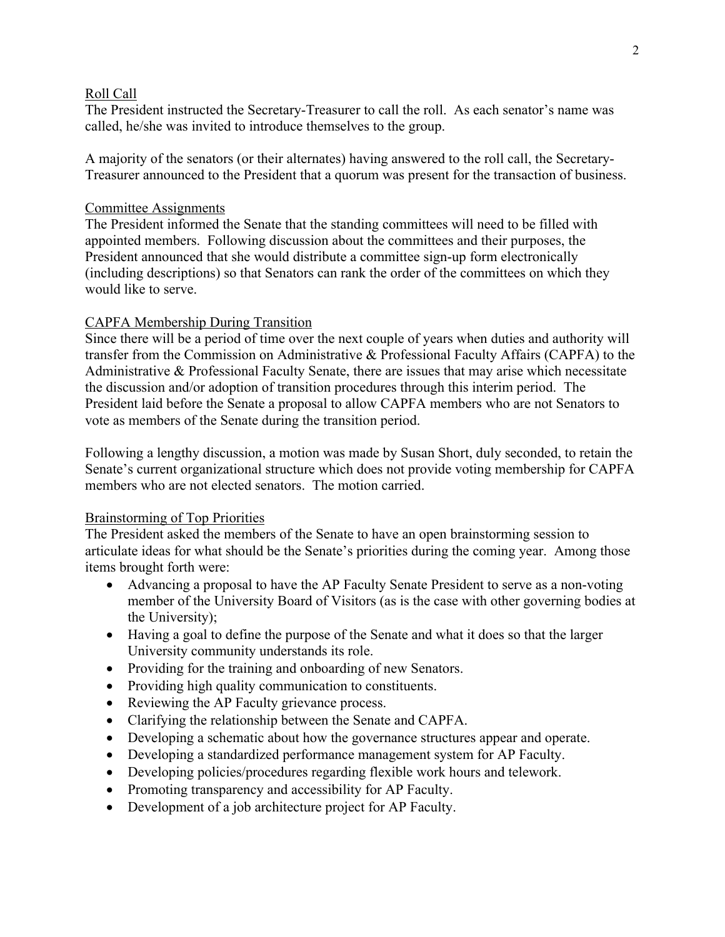### Roll Call

The President instructed the Secretary-Treasurer to call the roll. As each senator's name was called, he/she was invited to introduce themselves to the group.

A majority of the senators (or their alternates) having answered to the roll call, the Secretary-Treasurer announced to the President that a quorum was present for the transaction of business.

## Committee Assignments

The President informed the Senate that the standing committees will need to be filled with appointed members. Following discussion about the committees and their purposes, the President announced that she would distribute a committee sign-up form electronically (including descriptions) so that Senators can rank the order of the committees on which they would like to serve.

# CAPFA Membership During Transition

Since there will be a period of time over the next couple of years when duties and authority will transfer from the Commission on Administrative & Professional Faculty Affairs (CAPFA) to the Administrative & Professional Faculty Senate, there are issues that may arise which necessitate the discussion and/or adoption of transition procedures through this interim period. The President laid before the Senate a proposal to allow CAPFA members who are not Senators to vote as members of the Senate during the transition period.

Following a lengthy discussion, a motion was made by Susan Short, duly seconded, to retain the Senate's current organizational structure which does not provide voting membership for CAPFA members who are not elected senators. The motion carried.

## Brainstorming of Top Priorities

The President asked the members of the Senate to have an open brainstorming session to articulate ideas for what should be the Senate's priorities during the coming year. Among those items brought forth were:

- Advancing a proposal to have the AP Faculty Senate President to serve as a non-voting member of the University Board of Visitors (as is the case with other governing bodies at the University);
- Having a goal to define the purpose of the Senate and what it does so that the larger University community understands its role.
- Providing for the training and onboarding of new Senators.
- Providing high quality communication to constituents.
- Reviewing the AP Faculty grievance process.
- Clarifying the relationship between the Senate and CAPFA.
- Developing a schematic about how the governance structures appear and operate.
- Developing a standardized performance management system for AP Faculty.
- Developing policies/procedures regarding flexible work hours and telework.
- Promoting transparency and accessibility for AP Faculty.
- Development of a job architecture project for AP Faculty.